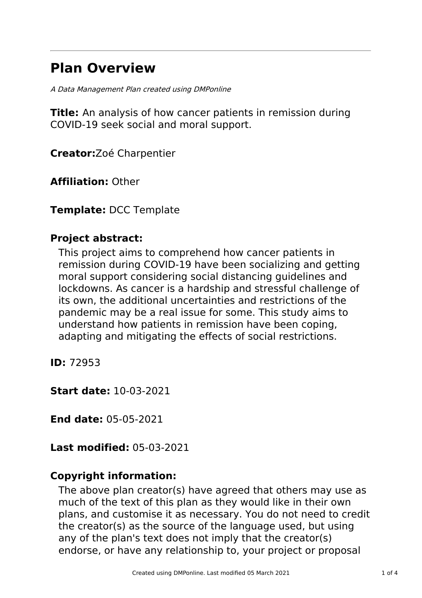# **Plan Overview**

A Data Management Plan created using DMPonline

**Title:** An analysis of how cancer patients in remission during COVID-19 seek social and moral support.

**Creator:**Zoé Charpentier

**Affiliation:** Other

**Template:** DCC Template

# **Project abstract:**

This project aims to comprehend how cancer patients in remission during COVID-19 have been socializing and getting moral support considering social distancing guidelines and lockdowns. As cancer is a hardship and stressful challenge of its own, the additional uncertainties and restrictions of the pandemic may be a real issue for some. This study aims to understand how patients in remission have been coping, adapting and mitigating the effects of social restrictions.

**ID:** 72953

**Start date:** 10-03-2021

**End date:** 05-05-2021

**Last modified:** 05-03-2021

# **Copyright information:**

The above plan creator(s) have agreed that others may use as much of the text of this plan as they would like in their own plans, and customise it as necessary. You do not need to credit the creator(s) as the source of the language used, but using any of the plan's text does not imply that the creator(s) endorse, or have any relationship to, your project or proposal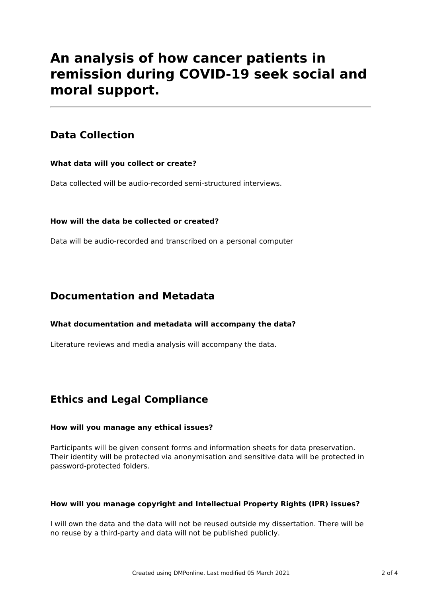# **An analysis of how cancer patients in remission during COVID-19 seek social and moral support.**

# **Data Collection**

### **What data will you collect or create?**

Data collected will be audio-recorded semi-structured interviews.

### **How will the data be collected or created?**

Data will be audio-recorded and transcribed on a personal computer

## **Documentation and Metadata**

### **What documentation and metadata will accompany the data?**

Literature reviews and media analysis will accompany the data.

# **Ethics and Legal Compliance**

### **How will you manage any ethical issues?**

Participants will be given consent forms and information sheets for data preservation. Their identity will be protected via anonymisation and sensitive data will be protected in password-protected folders.

### **How will you manage copyright and Intellectual Property Rights (IPR) issues?**

I will own the data and the data will not be reused outside my dissertation. There will be no reuse by a third-party and data will not be published publicly.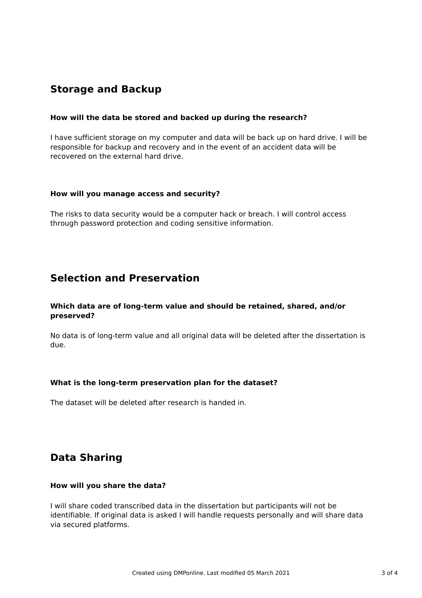# **Storage and Backup**

#### **How will the data be stored and backed up during the research?**

I have sufficient storage on my computer and data will be back up on hard drive. I will be responsible for backup and recovery and in the event of an accident data will be recovered on the external hard drive.

#### **How will you manage access and security?**

The risks to data security would be a computer hack or breach. I will control access through password protection and coding sensitive information.

### **Selection and Preservation**

#### **Which data are of long-term value and should be retained, shared, and/or preserved?**

No data is of long-term value and all original data will be deleted after the dissertation is due.

#### **What is the long-term preservation plan for the dataset?**

The dataset will be deleted after research is handed in.

# **Data Sharing**

#### **How will you share the data?**

I will share coded transcribed data in the dissertation but participants will not be identifiable. If original data is asked I will handle requests personally and will share data via secured platforms.